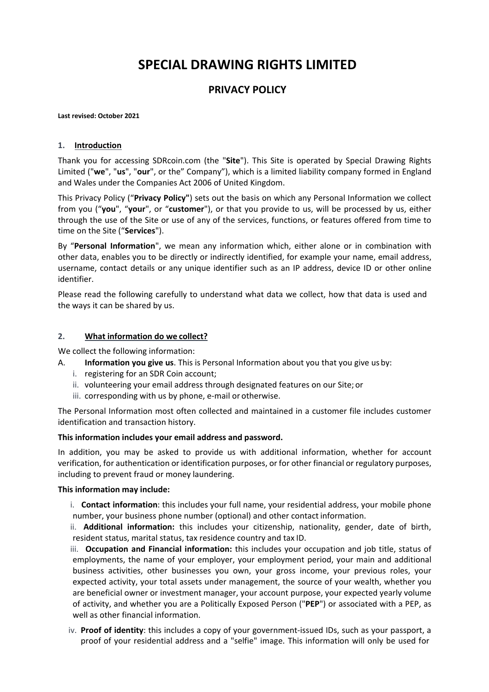# **SPECIAL DRAWING RIGHTS LIMITED**

# **PRIVACY POLICY**

#### **Last revised: October 2021**

#### **1. Introduction**

Thank you for accessing SDRcoin.com (the "**Site**"). This Site is operated by Special Drawing Rights Limited ("**we**", "**us**", "**our**", or the" Company"), which is a limited liability company formed in England and Wales under the Companies Act 2006 of United Kingdom.

This Privacy Policy ("**Privacy Policy"**) sets out the basis on which any Personal Information we collect from you ("**you**", "**your**", or "**customer**"), or that you provide to us, will be processed by us, either through the use of the Site or use of any of the services, functions, or features offered from time to time on the Site ("**Services**").

By "**Personal Information**", we mean any information which, either alone or in combination with other data, enables you to be directly or indirectly identified, for example your name, email address, username, contact details or any unique identifier such as an IP address, device ID or other online identifier.

Please read the following carefully to understand what data we collect, how that data is used and the ways it can be shared by us.

#### **2. What information do we collect?**

We collect the following information:

- A. **Information you give us**. This is Personal Information about you that you give usby:
	- i. registering for an SDR Coin account;
	- ii. volunteering your email address through designated features on our Site; or
	- iii. corresponding with us by phone, e-mail or otherwise.

The Personal Information most often collected and maintained in a customer file includes customer identification and transaction history.

#### **This information includes your email address and password.**

In addition, you may be asked to provide us with additional information, whether for account verification, for authentication or identification purposes, or for other financial or regulatory purposes, including to prevent fraud or money laundering.

#### **This information may include:**

i. **Contact information**: this includes your full name, your residential address, your mobile phone number, your business phone number (optional) and other contact information.

ii. **Additional information:** this includes your citizenship, nationality, gender, date of birth, resident status, marital status, tax residence country and tax ID.

iii. **Occupation and Financial information:** this includes your occupation and job title, status of employments, the name of your employer, your employment period, your main and additional business activities, other businesses you own, your gross income, your previous roles, your expected activity, your total assets under management, the source of your wealth, whether you are beneficial owner or investment manager, your account purpose, your expected yearly volume of activity, and whether you are a Politically Exposed Person ("**PEP**") or associated with a PEP, as well as other financial information.

iv. **Proof of identity**: this includes a copy of your government-issued IDs, such as your passport, a proof of your residential address and a "selfie" image. This information will only be used for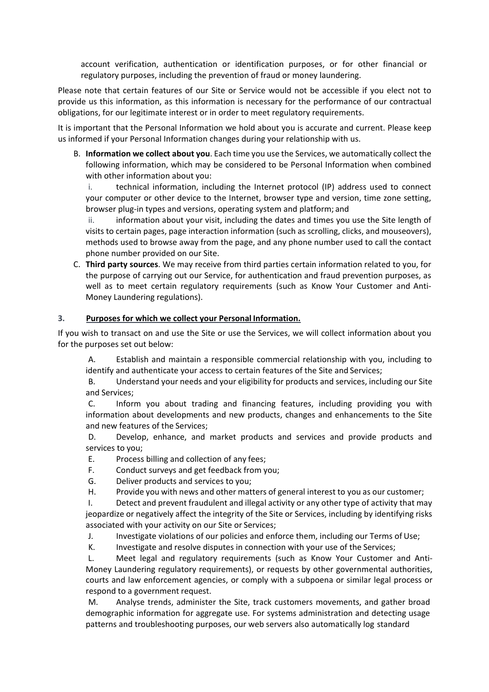account verification, authentication or identification purposes, or for other financial or regulatory purposes, including the prevention of fraud or money laundering.

Please note that certain features of our Site or Service would not be accessible if you elect not to provide us this information, as this information is necessary for the performance of our contractual obligations, for our legitimate interest or in order to meet regulatory requirements.

It is important that the Personal Information we hold about you is accurate and current. Please keep us informed if your Personal Information changes during your relationship with us.

B. **Information we collect about you**. Each time you use the Services, we automatically collect the following information, which may be considered to be Personal Information when combined with other information about you:

i. technical information, including the Internet protocol (IP) address used to connect your computer or other device to the Internet, browser type and version, time zone setting, browser plug-in types and versions, operating system and platform; and

ii. information about your visit, including the dates and times you use the Site length of visits to certain pages, page interaction information (such as scrolling, clicks, and mouseovers), methods used to browse away from the page, and any phone number used to call the contact phone number provided on our Site.

C. **Third party sources**. We may receive from third parties certain information related to you, for the purpose of carrying out our Service, for authentication and fraud prevention purposes, as well as to meet certain regulatory requirements (such as Know Your Customer and Anti-Money Laundering regulations).

#### **3. Purposes for which we collect your Personal Information.**

If you wish to transact on and use the Site or use the Services, we will collect information about you for the purposes set out below:

A. Establish and maintain a responsible commercial relationship with you, including to identify and authenticate your access to certain features of the Site and Services;

B. Understand your needs and your eligibility for products and services, including our Site and Services;

C. Inform you about trading and financing features, including providing you with information about developments and new products, changes and enhancements to the Site and new features of the Services;

D. Develop, enhance, and market products and services and provide products and services to you;

- E. Process billing and collection of any fees;
- F. Conduct surveys and get feedback from you;
- G. Deliver products and services to you;
- H. Provide you with news and other matters of general interest to you as our customer;

I. Detect and prevent fraudulent and illegal activity or any other type of activity that may jeopardize or negatively affect the integrity of the Site or Services, including by identifying risks associated with your activity on our Site or Services;

J. Investigate violations of our policies and enforce them, including our Terms of Use;

K. Investigate and resolve disputes in connection with your use of the Services;

L. Meet legal and regulatory requirements (such as Know Your Customer and Anti-Money Laundering regulatory requirements), or requests by other governmental authorities, courts and law enforcement agencies, or comply with a subpoena or similar legal process or respond to a government request.

M. Analyse trends, administer the Site, track customers movements, and gather broad demographic information for aggregate use. For systems administration and detecting usage patterns and troubleshooting purposes, our web servers also automatically log standard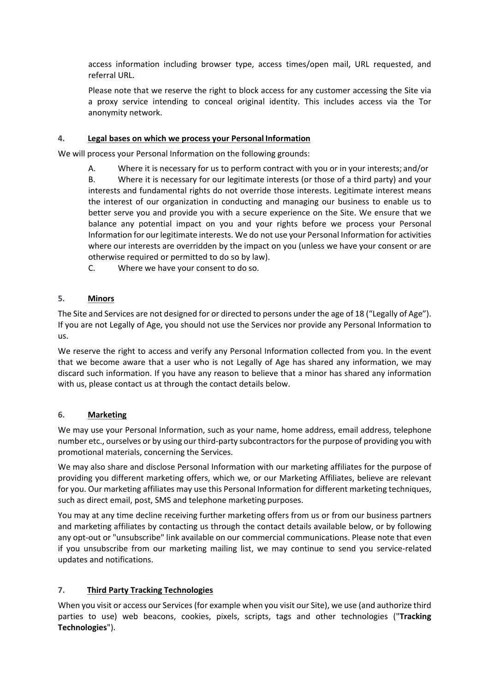access information including browser type, access times/open mail, URL requested, and referral URL.

Please note that we reserve the right to block access for any customer accessing the Site via a proxy service intending to conceal original identity. This includes access via the Tor anonymity network.

### **4. Legal bases on which we process your Personal Information**

We will process your Personal Information on the following grounds:

A. Where it is necessary for us to perform contract with you or in your interests; and/or

B. Where it is necessary for our legitimate interests (or those of a third party) and your interests and fundamental rights do not override those interests. Legitimate interest means the interest of our organization in conducting and managing our business to enable us to better serve you and provide you with a secure experience on the Site. We ensure that we balance any potential impact on you and your rights before we process your Personal Information for our legitimate interests. We do not use your Personal Information for activities where our interests are overridden by the impact on you (unless we have your consent or are otherwise required or permitted to do so by law).

C. Where we have your consent to do so.

## **5. Minors**

The Site and Services are not designed for or directed to persons under the age of 18 ("Legally of Age"). If you are not Legally of Age, you should not use the Services nor provide any Personal Information to us.

We reserve the right to access and verify any Personal Information collected from you. In the event that we become aware that a user who is not Legally of Age has shared any information, we may discard such information. If you have any reason to believe that a minor has shared any information with us, please contact us at through the contact details below.

#### **6. Marketing**

We may use your Personal Information, such as your name, home address, email address, telephone number etc., ourselves or by using our third-party subcontractorsfor the purpose of providing you with promotional materials, concerning the Services.

We may also share and disclose Personal Information with our marketing affiliates for the purpose of providing you different marketing offers, which we, or our Marketing Affiliates, believe are relevant for you. Our marketing affiliates may use this Personal Information for different marketing techniques, such as direct email, post, SMS and telephone marketing purposes.

You may at any time decline receiving further marketing offers from us or from our business partners and marketing affiliates by contacting us through the contact details available below, or by following any opt-out or "unsubscribe" link available on our commercial communications. Please note that even if you unsubscribe from our marketing mailing list, we may continue to send you service-related updates and notifications.

## **7. Third Party Tracking Technologies**

When you visit or access our Services (for example when you visit our Site), we use (and authorize third parties to use) web beacons, cookies, pixels, scripts, tags and other technologies ("**Tracking Technologies**").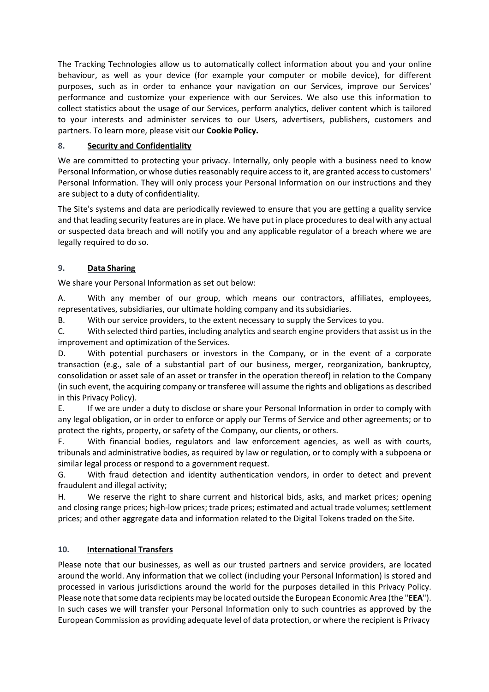The Tracking Technologies allow us to automatically collect information about you and your online behaviour, as well as your device (for example your computer or mobile device), for different purposes, such as in order to enhance your navigation on our Services, improve our Services' performance and customize your experience with our Services. We also use this information to collect statistics about the usage of our Services, perform analytics, deliver content which is tailored to your interests and administer services to our Users, advertisers, publishers, customers and partners. To learn more, please visit our **Cookie Policy.**

## **8. Security and Confidentiality**

We are committed to protecting your privacy. Internally, only people with a business need to know Personal Information, or whose duties reasonably require accessto it, are granted accessto customers' Personal Information. They will only process your Personal Information on our instructions and they are subject to a duty of confidentiality.

The Site's systems and data are periodically reviewed to ensure that you are getting a quality service and that leading security features are in place. We have put in place procedures to deal with any actual or suspected data breach and will notify you and any applicable regulator of a breach where we are legally required to do so.

# **9. Data Sharing**

We share your Personal Information as set out below:

A. With any member of our group, which means our contractors, affiliates, employees, representatives, subsidiaries, our ultimate holding company and itssubsidiaries.

B. With our service providers, to the extent necessary to supply the Services to you.

C. With selected third parties, including analytics and search engine providersthat assist us in the improvement and optimization of the Services.

D. With potential purchasers or investors in the Company, or in the event of a corporate transaction (e.g., sale of a substantial part of our business, merger, reorganization, bankruptcy, consolidation or asset sale of an asset or transfer in the operation thereof) in relation to the Company (in such event, the acquiring company or transferee will assume the rights and obligations as described in this Privacy Policy).

E. If we are under a duty to disclose or share your Personal Information in order to comply with any legal obligation, or in order to enforce or apply our Terms of Service and other agreements; or to protect the rights, property, or safety of the Company, our clients, or others.

F. With financial bodies, regulators and law enforcement agencies, as well as with courts, tribunals and administrative bodies, as required by law or regulation, or to comply with a subpoena or similar legal process or respond to a government request.

G. With fraud detection and identity authentication vendors, in order to detect and prevent fraudulent and illegal activity;

H. We reserve the right to share current and historical bids, asks, and market prices; opening and closing range prices; high-low prices; trade prices; estimated and actual trade volumes; settlement prices; and other aggregate data and information related to the Digital Tokens traded on the Site.

# **10. International Transfers**

Please note that our businesses, as well as our trusted partners and service providers, are located around the world. Any information that we collect (including your Personal Information) is stored and processed in various jurisdictions around the world for the purposes detailed in this Privacy Policy. Please note thatsome data recipients may be located outside the European Economic Area (the "**EEA**"). In such cases we will transfer your Personal Information only to such countries as approved by the European Commission as providing adequate level of data protection, or where the recipient is Privacy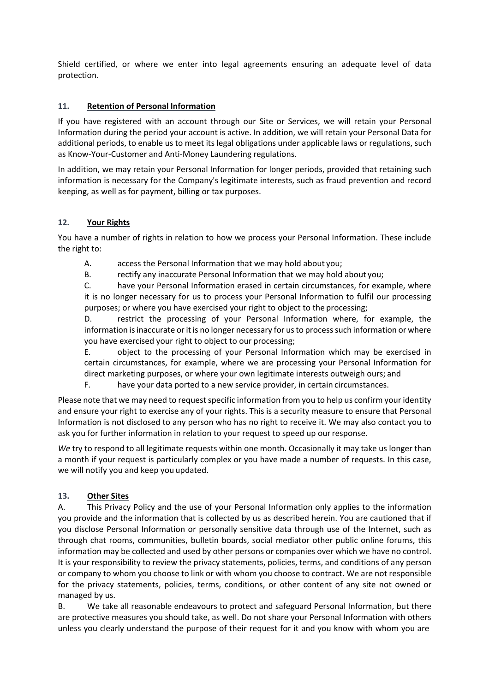Shield certified, or where we enter into legal agreements ensuring an adequate level of data protection.

# **11. Retention of Personal Information**

If you have registered with an account through our Site or Services, we will retain your Personal Information during the period your account is active. In addition, we will retain your Personal Data for additional periods, to enable us to meet its legal obligations under applicable laws or regulations, such as Know-Your-Customer and Anti-Money Laundering regulations.

In addition, we may retain your Personal Information for longer periods, provided that retaining such information is necessary for the Company's legitimate interests, such as fraud prevention and record keeping, as well as for payment, billing or tax purposes.

## **12. Your Rights**

You have a number of rights in relation to how we process your Personal Information. These include the right to:

A. access the Personal Information that we may hold about you;

B. rectify any inaccurate Personal Information that we may hold about you;

C. have your Personal Information erased in certain circumstances, for example, where it is no longer necessary for us to process your Personal Information to fulfil our processing purposes; or where you have exercised your right to object to the processing;

D. restrict the processing of your Personal Information where, for example, the information is inaccurate or it is no longer necessary for us to process such information or where you have exercised your right to object to our processing;

E. object to the processing of your Personal Information which may be exercised in certain circumstances, for example, where we are processing your Personal Information for direct marketing purposes, or where your own legitimate interests outweigh ours; and

F. have your data ported to a new service provider, in certain circumstances.

Please note that we may need to request specific information from you to help us confirm your identity and ensure your right to exercise any of your rights. This is a security measure to ensure that Personal Information is not disclosed to any person who has no right to receive it. We may also contact you to ask you for further information in relation to your request to speed up ourresponse.

*We* try to respond to all legitimate requests within one month. Occasionally it may take us longer than a month if your request is particularly complex or you have made a number of requests. In this case, we will notify you and keep you updated.

## **13. Other Sites**

A. This Privacy Policy and the use of your Personal Information only applies to the information you provide and the information that is collected by us as described herein. You are cautioned that if you disclose Personal Information or personally sensitive data through use of the Internet, such as through chat rooms, communities, bulletin boards, social mediator other public online forums, this information may be collected and used by other persons or companies over which we have no control. It is your responsibility to review the privacy statements, policies, terms, and conditions of any person or company to whom you choose to link or with whom you choose to contract. We are not responsible for the privacy statements, policies, terms, conditions, or other content of any site not owned or managed by us.

B. We take all reasonable endeavours to protect and safeguard Personal Information, but there are protective measures you should take, as well. Do not share your Personal Information with others unless you clearly understand the purpose of their request for it and you know with whom you are